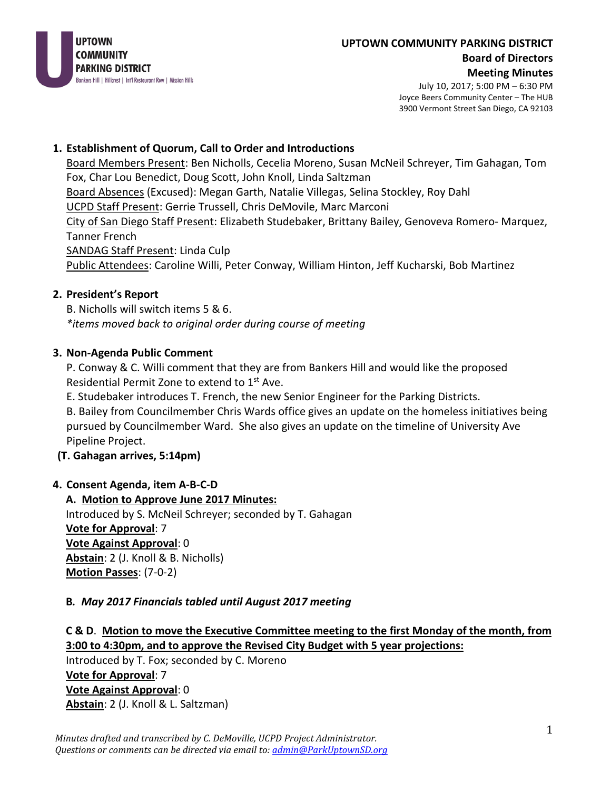

# **UPTOWN COMMUNITY PARKING DISTRICT Board of Directors Meeting Minutes**

July 10, 2017; 5:00 PM – 6:30 PM Joyce Beers Community Center – The HUB 3900 Vermont Street San Diego, CA 92103

### **1. Establishment of Quorum, Call to Order and Introductions**

Board Members Present: Ben Nicholls, Cecelia Moreno, Susan McNeil Schreyer, Tim Gahagan, Tom Fox, Char Lou Benedict, Doug Scott, John Knoll, Linda Saltzman Board Absences (Excused): Megan Garth, Natalie Villegas, Selina Stockley, Roy Dahl UCPD Staff Present: Gerrie Trussell, Chris DeMovile, Marc Marconi City of San Diego Staff Present: Elizabeth Studebaker, Brittany Bailey, Genoveva Romero- Marquez, Tanner French SANDAG Staff Present: Linda Culp Public Attendees: Caroline Willi, Peter Conway, William Hinton, Jeff Kucharski, Bob Martinez

### **2. President's Report**

B. Nicholls will switch items 5 & 6. *\*items moved back to original order during course of meeting*

### **3. Non-Agenda Public Comment**

P. Conway & C. Willi comment that they are from Bankers Hill and would like the proposed Residential Permit Zone to extend to  $1<sup>st</sup>$  Ave.

E. Studebaker introduces T. French, the new Senior Engineer for the Parking Districts.

B. Bailey from Councilmember Chris Wards office gives an update on the homeless initiatives being pursued by Councilmember Ward. She also gives an update on the timeline of University Ave Pipeline Project.

### **(T. Gahagan arrives, 5:14pm)**

### **4. Consent Agenda, item A-B-C-D**

**A. Motion to Approve June 2017 Minutes:**  Introduced by S. McNeil Schreyer; seconded by T. Gahagan **Vote for Approval**: 7 **Vote Against Approval**: 0 **Abstain**: 2 (J. Knoll & B. Nicholls) **Motion Passes**: (7-0-2)

### **B***. May 2017 Financials tabled until August 2017 meeting*

**C & D**. **Motion to move the Executive Committee meeting to the first Monday of the month, from 3:00 to 4:30pm, and to approve the Revised City Budget with 5 year projections:**

Introduced by T. Fox; seconded by C. Moreno **Vote for Approval**: 7 **Vote Against Approval**: 0 **Abstain**: 2 (J. Knoll & L. Saltzman)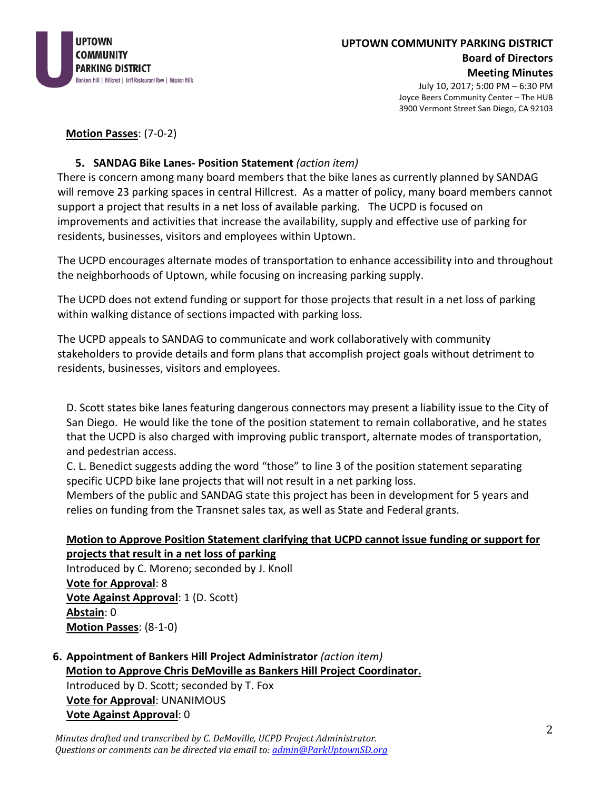

July 10, 2017; 5:00 PM – 6:30 PM Joyce Beers Community Center – The HUB 3900 Vermont Street San Diego, CA 92103

### **Motion Passes**: (7-0-2)

### **5. SANDAG Bike Lanes- Position Statement** *(action item)*

There is concern among many board members that the bike lanes as currently planned by SANDAG will remove 23 parking spaces in central Hillcrest. As a matter of policy, many board members cannot support a project that results in a net loss of available parking. The UCPD is focused on improvements and activities that increase the availability, supply and effective use of parking for residents, businesses, visitors and employees within Uptown.

The UCPD encourages alternate modes of transportation to enhance accessibility into and throughout the neighborhoods of Uptown, while focusing on increasing parking supply.

The UCPD does not extend funding or support for those projects that result in a net loss of parking within walking distance of sections impacted with parking loss.

The UCPD appeals to SANDAG to communicate and work collaboratively with community stakeholders to provide details and form plans that accomplish project goals without detriment to residents, businesses, visitors and employees.

D. Scott states bike lanes featuring dangerous connectors may present a liability issue to the City of San Diego. He would like the tone of the position statement to remain collaborative, and he states that the UCPD is also charged with improving public transport, alternate modes of transportation, and pedestrian access.

C. L. Benedict suggests adding the word "those" to line 3 of the position statement separating specific UCPD bike lane projects that will not result in a net parking loss.

Members of the public and SANDAG state this project has been in development for 5 years and relies on funding from the Transnet sales tax, as well as State and Federal grants.

# **Motion to Approve Position Statement clarifying that UCPD cannot issue funding or support for projects that result in a net loss of parking**

Introduced by C. Moreno; seconded by J. Knoll **Vote for Approval**: 8 **Vote Against Approval**: 1 (D. Scott) **Abstain**: 0 **Motion Passes**: (8-1-0)

# **6. Appointment of Bankers Hill Project Administrator** *(action item)* **Motion to Approve Chris DeMoville as Bankers Hill Project Coordinator.**

Introduced by D. Scott; seconded by T. Fox **Vote for Approval**: UNANIMOUS **Vote Against Approval**: 0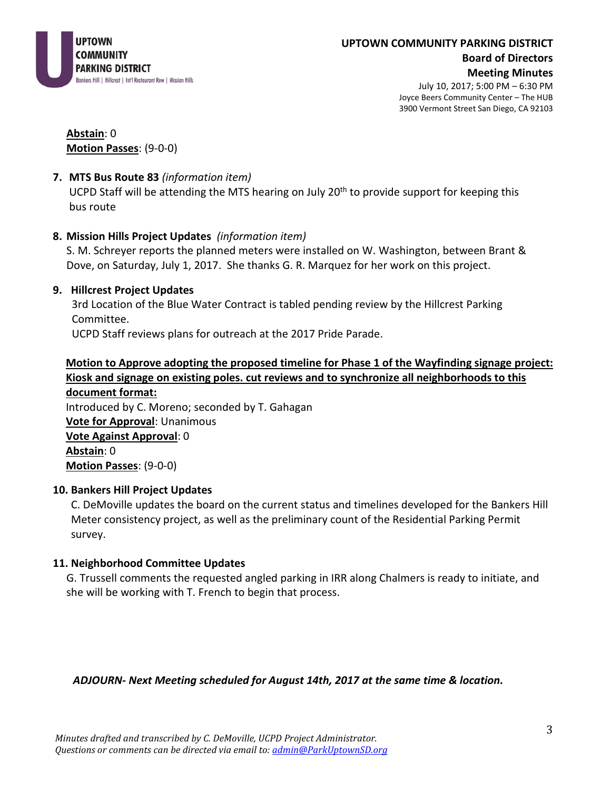

July 10, 2017; 5:00 PM – 6:30 PM Joyce Beers Community Center – The HUB 3900 Vermont Street San Diego, CA 92103

**Abstain**: 0 **Motion Passes**: (9-0-0)

### **7. MTS Bus Route 83** *(information item)*

UCPD Staff will be attending the MTS hearing on July 20<sup>th</sup> to provide support for keeping this bus route

### **8. Mission Hills Project Updates** *(information item)*

S. M. Schreyer reports the planned meters were installed on W. Washington, between Brant & Dove, on Saturday, July 1, 2017. She thanks G. R. Marquez for her work on this project.

### **9. Hillcrest Project Updates**

3rd Location of the Blue Water Contract is tabled pending review by the Hillcrest Parking Committee.

UCPD Staff reviews plans for outreach at the 2017 Pride Parade.

# **Motion to Approve adopting the proposed timeline for Phase 1 of the Wayfinding signage project: Kiosk and signage on existing poles. cut reviews and to synchronize all neighborhoods to this**

**document format:** Introduced by C. Moreno; seconded by T. Gahagan **Vote for Approval**: Unanimous **Vote Against Approval**: 0 **Abstain**: 0 **Motion Passes**: (9-0-0)

### **10. Bankers Hill Project Updates**

C. DeMoville updates the board on the current status and timelines developed for the Bankers Hill Meter consistency project, as well as the preliminary count of the Residential Parking Permit survey.

### **11. Neighborhood Committee Updates**

G. Trussell comments the requested angled parking in IRR along Chalmers is ready to initiate, and she will be working with T. French to begin that process.

### *ADJOURN- Next Meeting scheduled for August 14th, 2017 at the same time & location.*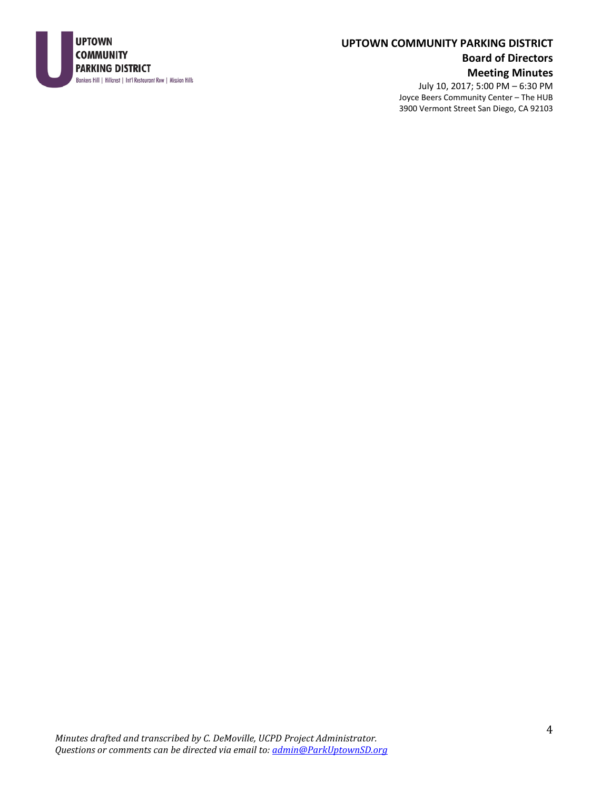

### **UPTOWN COMMUNITY PARKING DISTRICT Board of Directors Meeting Minutes**

July 10, 2017; 5:00 PM – 6:30 PM Joyce Beers Community Center – The HUB 3900 Vermont Street San Diego, CA 92103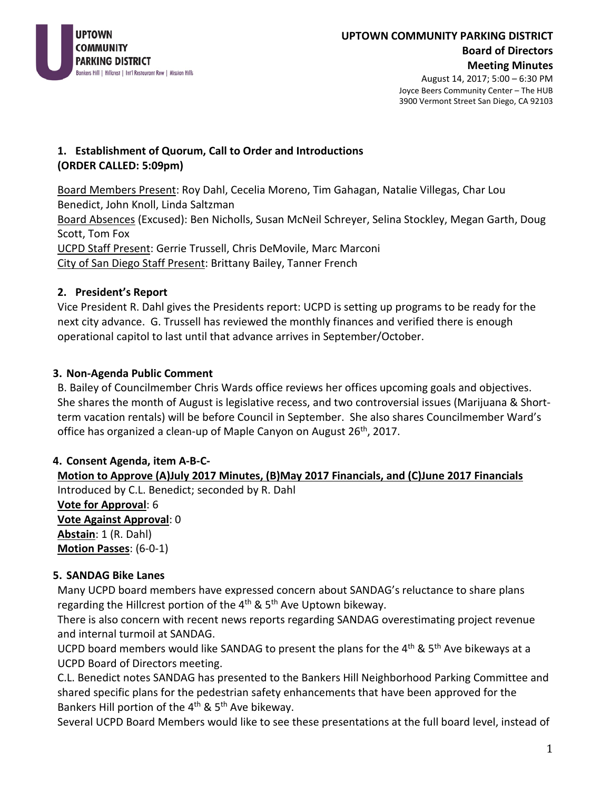

August 14, 2017; 5:00 – 6:30 PM Joyce Beers Community Center – The HUB 3900 Vermont Street San Diego, CA 92103

## **1. Establishment of Quorum, Call to Order and Introductions (ORDER CALLED: 5:09pm)**

Board Members Present: Roy Dahl, Cecelia Moreno, Tim Gahagan, Natalie Villegas, Char Lou Benedict, John Knoll, Linda Saltzman Board Absences (Excused): Ben Nicholls, Susan McNeil Schreyer, Selina Stockley, Megan Garth, Doug Scott, Tom Fox UCPD Staff Present: Gerrie Trussell, Chris DeMovile, Marc Marconi City of San Diego Staff Present: Brittany Bailey, Tanner French

# **2. President's Report**

Vice President R. Dahl gives the Presidents report: UCPD is setting up programs to be ready for the next city advance. G. Trussell has reviewed the monthly finances and verified there is enough operational capitol to last until that advance arrives in September/October.

# **3. Non-Agenda Public Comment**

B. Bailey of Councilmember Chris Wards office reviews her offices upcoming goals and objectives. She shares the month of August is legislative recess, and two controversial issues (Marijuana & Shortterm vacation rentals) will be before Council in September. She also shares Councilmember Ward's office has organized a clean-up of Maple Canyon on August 26<sup>th</sup>, 2017.

# **4. Consent Agenda, item A-B-C-**

**Motion to Approve (A)July 2017 Minutes, (B)May 2017 Financials, and (C)June 2017 Financials** Introduced by C.L. Benedict; seconded by R. Dahl **Vote for Approval**: 6 **Vote Against Approval**: 0 **Abstain**: 1 (R. Dahl) **Motion Passes**: (6-0-1)

### **5. SANDAG Bike Lanes**

Many UCPD board members have expressed concern about SANDAG's reluctance to share plans regarding the Hillcrest portion of the  $4<sup>th</sup>$  &  $5<sup>th</sup>$  Ave Uptown bikeway.

There is also concern with recent news reports regarding SANDAG overestimating project revenue and internal turmoil at SANDAG.

UCPD board members would like SANDAG to present the plans for the 4<sup>th</sup> & 5<sup>th</sup> Ave bikeways at a UCPD Board of Directors meeting.

C.L. Benedict notes SANDAG has presented to the Bankers Hill Neighborhood Parking Committee and shared specific plans for the pedestrian safety enhancements that have been approved for the Bankers Hill portion of the  $4<sup>th</sup>$  & 5<sup>th</sup> Ave bikeway.

Several UCPD Board Members would like to see these presentations at the full board level, instead of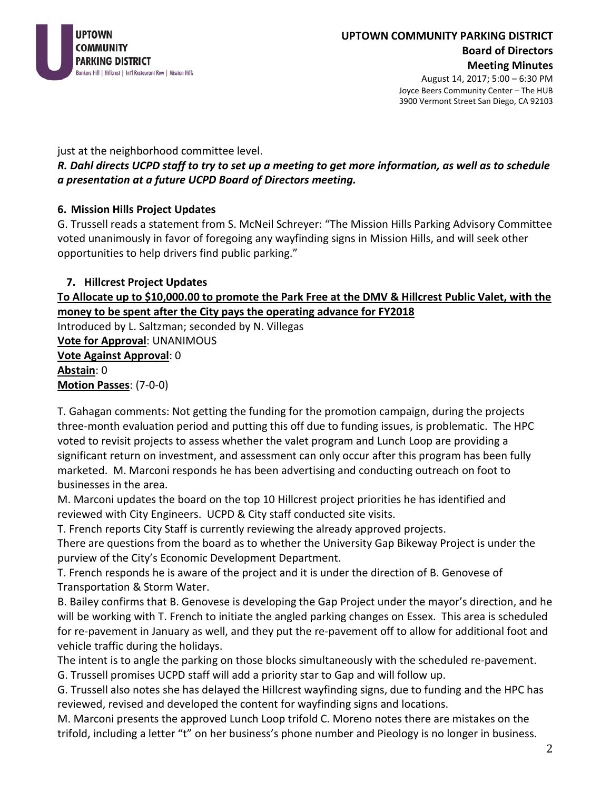

August 14, 2017; 5:00 – 6:30 PM Joyce Beers Community Center – The HUB 3900 Vermont Street San Diego, CA 92103

just at the neighborhood committee level.

*R. Dahl directs UCPD staff to try to set up a meeting to get more information, as well as to schedule a presentation at a future UCPD Board of Directors meeting.*

### **6. Mission Hills Project Updates**

G. Trussell reads a statement from S. McNeil Schreyer: "The Mission Hills Parking Advisory Committee voted unanimously in favor of foregoing any wayfinding signs in Mission Hills, and will seek other opportunities to help drivers find public parking."

### **7. Hillcrest Project Updates**

**To Allocate up to \$10,000.00 to promote the Park Free at the DMV & Hillcrest Public Valet, with the money to be spent after the City pays the operating advance for FY2018**

Introduced by L. Saltzman; seconded by N. Villegas **Vote for Approval**: UNANIMOUS **Vote Against Approval**: 0 **Abstain**: 0 **Motion Passes**: (7-0-0)

T. Gahagan comments: Not getting the funding for the promotion campaign, during the projects three-month evaluation period and putting this off due to funding issues, is problematic. The HPC voted to revisit projects to assess whether the valet program and Lunch Loop are providing a significant return on investment, and assessment can only occur after this program has been fully marketed. M. Marconi responds he has been advertising and conducting outreach on foot to businesses in the area.

M. Marconi updates the board on the top 10 Hillcrest project priorities he has identified and reviewed with City Engineers. UCPD & City staff conducted site visits.

T. French reports City Staff is currently reviewing the already approved projects.

There are questions from the board as to whether the University Gap Bikeway Project is under the purview of the City's Economic Development Department.

T. French responds he is aware of the project and it is under the direction of B. Genovese of Transportation & Storm Water.

B. Bailey confirms that B. Genovese is developing the Gap Project under the mayor's direction, and he will be working with T. French to initiate the angled parking changes on Essex. This area is scheduled for re-pavement in January as well, and they put the re-pavement off to allow for additional foot and vehicle traffic during the holidays.

The intent is to angle the parking on those blocks simultaneously with the scheduled re-pavement. G. Trussell promises UCPD staff will add a priority star to Gap and will follow up.

G. Trussell also notes she has delayed the Hillcrest wayfinding signs, due to funding and the HPC has reviewed, revised and developed the content for wayfinding signs and locations.

M. Marconi presents the approved Lunch Loop trifold C. Moreno notes there are mistakes on the trifold, including a letter "t" on her business's phone number and Pieology is no longer in business.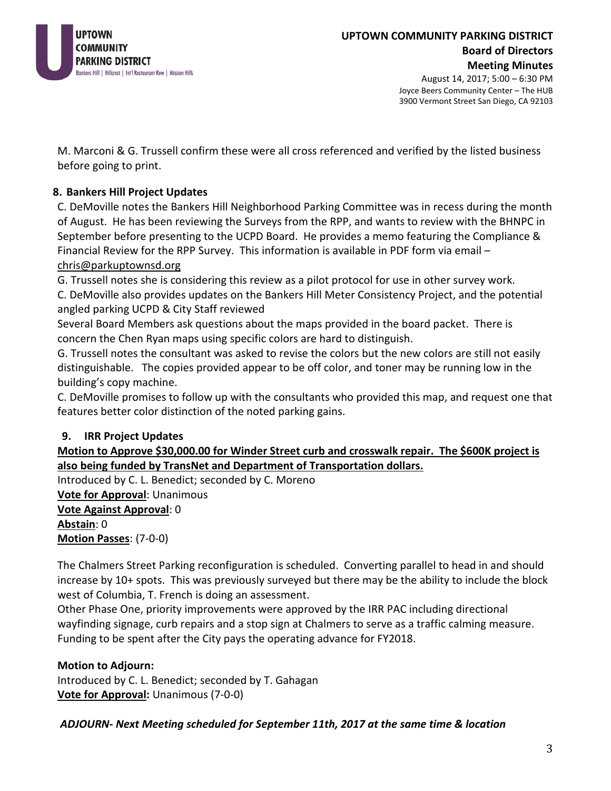

August 14, 2017; 5:00 – 6:30 PM Joyce Beers Community Center – The HUB 3900 Vermont Street San Diego, CA 92103

M. Marconi & G. Trussell confirm these were all cross referenced and verified by the listed business before going to print.

### **8. Bankers Hill Project Updates**

C. DeMoville notes the Bankers Hill Neighborhood Parking Committee was in recess during the month of August. He has been reviewing the Surveys from the RPP, and wants to review with the BHNPC in September before presenting to the UCPD Board. He provides a memo featuring the Compliance & Financial Review for the RPP Survey. This information is available in PDF form via email –

### [chris@parkuptownsd.org](mailto:chris@parkuptownsd.org)

G. Trussell notes she is considering this review as a pilot protocol for use in other survey work.

C. DeMoville also provides updates on the Bankers Hill Meter Consistency Project, and the potential angled parking UCPD & City Staff reviewed

Several Board Members ask questions about the maps provided in the board packet. There is concern the Chen Ryan maps using specific colors are hard to distinguish.

G. Trussell notes the consultant was asked to revise the colors but the new colors are still not easily distinguishable. The copies provided appear to be off color, and toner may be running low in the building's copy machine.

C. DeMoville promises to follow up with the consultants who provided this map, and request one that features better color distinction of the noted parking gains.

### **9. IRR Project Updates**

**Motion to Approve \$30,000.00 for Winder Street curb and crosswalk repair. The \$600K project is also being funded by TransNet and Department of Transportation dollars.**

Introduced by C. L. Benedict; seconded by C. Moreno **Vote for Approval**: Unanimous **Vote Against Approval**: 0 **Abstain**: 0 **Motion Passes**: (7-0-0)

The Chalmers Street Parking reconfiguration is scheduled. Converting parallel to head in and should increase by 10+ spots. This was previously surveyed but there may be the ability to include the block west of Columbia, T. French is doing an assessment.

Other Phase One, priority improvements were approved by the IRR PAC including directional wayfinding signage, curb repairs and a stop sign at Chalmers to serve as a traffic calming measure. Funding to be spent after the City pays the operating advance for FY2018.

### **Motion to Adjourn:**

Introduced by C. L. Benedict; seconded by T. Gahagan **Vote for Approval:** Unanimous (7-0-0)

*ADJOURN- Next Meeting scheduled for September 11th, 2017 at the same time & location*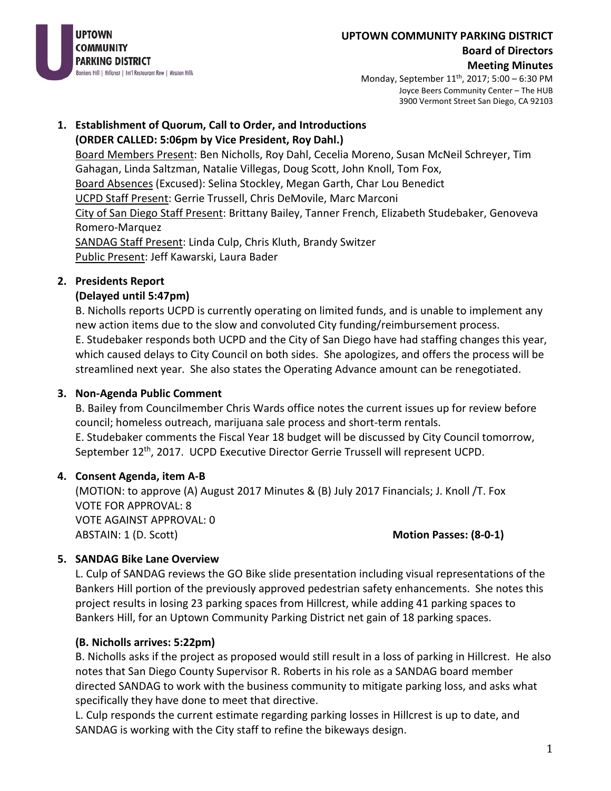

# **UPTOWN COMMUNITY PARKING DISTRICT Board of Directors Meeting Minutes**

Monday, September 11th, 2017; 5:00 – 6:30 PM Joyce Beers Community Center – The HUB 3900 Vermont Street San Diego, CA 92103

# **1. Establishment of Quorum, Call to Order, and Introductions**

#### **(ORDER CALLED: 5:06pm by Vice President, Roy Dahl.)**

Board Members Present: Ben Nicholls, Roy Dahl, Cecelia Moreno, Susan McNeil Schreyer, Tim Gahagan, Linda Saltzman, Natalie Villegas, Doug Scott, John Knoll, Tom Fox, Board Absences (Excused): Selina Stockley, Megan Garth, Char Lou Benedict UCPD Staff Present: Gerrie Trussell, Chris DeMovile, Marc Marconi City of San Diego Staff Present: Brittany Bailey, Tanner French, Elizabeth Studebaker, Genoveva Romero-Marquez SANDAG Staff Present: Linda Culp, Chris Kluth, Brandy Switzer

Public Present: Jeff Kawarski, Laura Bader

### **2. Presidents Report**

### **(Delayed until 5:47pm)**

B. Nicholls reports UCPD is currently operating on limited funds, and is unable to implement any new action items due to the slow and convoluted City funding/reimbursement process. E. Studebaker responds both UCPD and the City of San Diego have had staffing changes this year, which caused delays to City Council on both sides. She apologizes, and offers the process will be streamlined next year. She also states the Operating Advance amount can be renegotiated.

### **3. Non-Agenda Public Comment**

B. Bailey from Councilmember Chris Wards office notes the current issues up for review before council; homeless outreach, marijuana sale process and short-term rentals. E. Studebaker comments the Fiscal Year 18 budget will be discussed by City Council tomorrow,

September 12<sup>th</sup>, 2017. UCPD Executive Director Gerrie Trussell will represent UCPD.

### **4. Consent Agenda, item A-B**

(MOTION: to approve (A) August 2017 Minutes & (B) July 2017 Financials; J. Knoll /T. Fox VOTE FOR APPROVAL: 8 VOTE AGAINST APPROVAL: 0 ABSTAIN: 1 (D. Scott) **Motion Passes: (8-0-1)**

### **5. SANDAG Bike Lane Overview**

L. Culp of SANDAG reviews the GO Bike slide presentation including visual representations of the Bankers Hill portion of the previously approved pedestrian safety enhancements. She notes this project results in losing 23 parking spaces from Hillcrest, while adding 41 parking spaces to Bankers Hill, for an Uptown Community Parking District net gain of 18 parking spaces.

### **(B. Nicholls arrives: 5:22pm)**

B. Nicholls asks if the project as proposed would still result in a loss of parking in Hillcrest. He also notes that San Diego County Supervisor R. Roberts in his role as a SANDAG board member directed SANDAG to work with the business community to mitigate parking loss, and asks what specifically they have done to meet that directive.

L. Culp responds the current estimate regarding parking losses in Hillcrest is up to date, and SANDAG is working with the City staff to refine the bikeways design.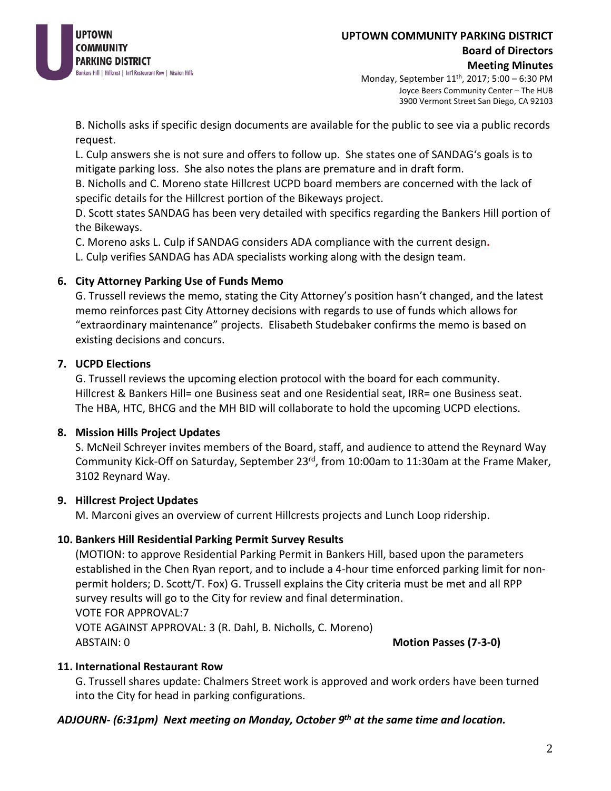

Monday, September 11th, 2017; 5:00 – 6:30 PM Joyce Beers Community Center – The HUB 3900 Vermont Street San Diego, CA 92103

B. Nicholls asks if specific design documents are available for the public to see via a public records request.

L. Culp answers she is not sure and offers to follow up. She states one of SANDAG's goals is to mitigate parking loss. She also notes the plans are premature and in draft form.

B. Nicholls and C. Moreno state Hillcrest UCPD board members are concerned with the lack of specific details for the Hillcrest portion of the Bikeways project.

D. Scott states SANDAG has been very detailed with specifics regarding the Bankers Hill portion of the Bikeways.

C. Moreno asks L. Culp if SANDAG considers ADA compliance with the current design**.**

L. Culp verifies SANDAG has ADA specialists working along with the design team.

### **6. City Attorney Parking Use of Funds Memo**

G. Trussell reviews the memo, stating the City Attorney's position hasn't changed, and the latest memo reinforces past City Attorney decisions with regards to use of funds which allows for "extraordinary maintenance" projects. Elisabeth Studebaker confirms the memo is based on existing decisions and concurs.

### **7. UCPD Elections**

G. Trussell reviews the upcoming election protocol with the board for each community. Hillcrest & Bankers Hill= one Business seat and one Residential seat, IRR= one Business seat. The HBA, HTC, BHCG and the MH BID will collaborate to hold the upcoming UCPD elections.

### **8. Mission Hills Project Updates**

S. McNeil Schreyer invites members of the Board, staff, and audience to attend the Reynard Way Community Kick-Off on Saturday, September 23rd, from 10:00am to 11:30am at the Frame Maker, 3102 Reynard Way.

### **9. Hillcrest Project Updates**

M. Marconi gives an overview of current Hillcrests projects and Lunch Loop ridership.

### **10. Bankers Hill Residential Parking Permit Survey Results**

(MOTION: to approve Residential Parking Permit in Bankers Hill, based upon the parameters established in the Chen Ryan report, and to include a 4-hour time enforced parking limit for nonpermit holders; D. Scott/T. Fox) G. Trussell explains the City criteria must be met and all RPP survey results will go to the City for review and final determination. VOTE FOR APPROVAL:7 VOTE AGAINST APPROVAL: 3 (R. Dahl, B. Nicholls, C. Moreno) ABSTAIN: 0 **Motion Passes (7-3-0)** 

### **11. International Restaurant Row**

G. Trussell shares update: Chalmers Street work is approved and work orders have been turned into the City for head in parking configurations.

# *ADJOURN- (6:31pm) Next meeting on Monday, October 9th at the same time and location.*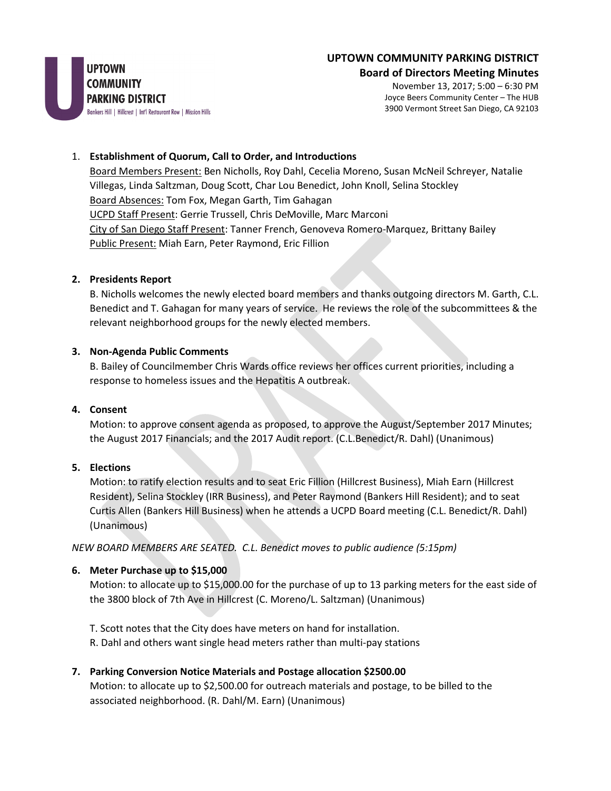

#### **Board of Directors Meeting Minutes**

November 13, 2017; 5:00 – 6:30 PM Joyce Beers Community Center – The HUB 3900 Vermont Street San Diego, CA 92103

#### 1. **Establishment of Quorum, Call to Order, and Introductions**

Board Members Present: Ben Nicholls, Roy Dahl, Cecelia Moreno, Susan McNeil Schreyer, Natalie Villegas, Linda Saltzman, Doug Scott, Char Lou Benedict, John Knoll, Selina Stockley Board Absences: Tom Fox, Megan Garth, Tim Gahagan UCPD Staff Present: Gerrie Trussell, Chris DeMoville, Marc Marconi City of San Diego Staff Present: Tanner French, Genoveva Romero-Marquez, Brittany Bailey Public Present: Miah Earn, Peter Raymond, Eric Fillion

#### **2. Presidents Report**

B. Nicholls welcomes the newly elected board members and thanks outgoing directors M. Garth, C.L. Benedict and T. Gahagan for many years of service. He reviews the role of the subcommittees & the relevant neighborhood groups for the newly elected members.

#### **3. Non-Agenda Public Comments**

B. Bailey of Councilmember Chris Wards office reviews her offices current priorities, including a response to homeless issues and the Hepatitis A outbreak.

#### **4. Consent**

Motion: to approve consent agenda as proposed, to approve the August/September 2017 Minutes; the August 2017 Financials; and the 2017 Audit report. (C.L.Benedict/R. Dahl) (Unanimous)

### **5. Elections**

Motion: to ratify election results and to seat Eric Fillion (Hillcrest Business), Miah Earn (Hillcrest Resident), Selina Stockley (IRR Business), and Peter Raymond (Bankers Hill Resident); and to seat Curtis Allen (Bankers Hill Business) when he attends a UCPD Board meeting (C.L. Benedict/R. Dahl) (Unanimous)

*NEW BOARD MEMBERS ARE SEATED. C.L. Benedict moves to public audience (5:15pm)*

#### **6. Meter Purchase up to \$15,000**

Motion: to allocate up to \$15,000.00 for the purchase of up to 13 parking meters for the east side of the 3800 block of 7th Ave in Hillcrest (C. Moreno/L. Saltzman) (Unanimous)

T. Scott notes that the City does have meters on hand for installation. R. Dahl and others want single head meters rather than multi-pay stations

#### **7. Parking Conversion Notice Materials and Postage allocation \$2500.00**

Motion: to allocate up to \$2,500.00 for outreach materials and postage, to be billed to the associated neighborhood. (R. Dahl/M. Earn) (Unanimous)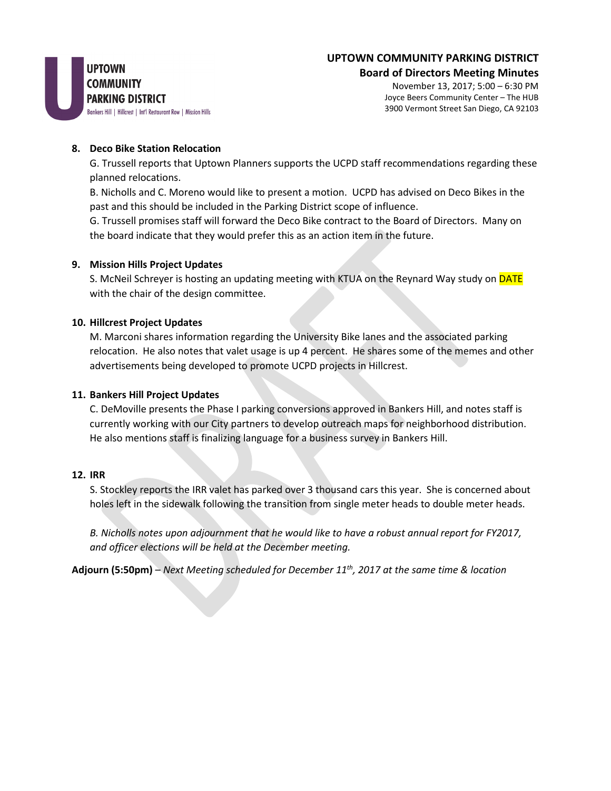

#### **Board of Directors Meeting Minutes**

November 13, 2017; 5:00 – 6:30 PM Joyce Beers Community Center – The HUB 3900 Vermont Street San Diego, CA 92103

#### **8. Deco Bike Station Relocation**

G. Trussell reports that Uptown Planners supports the UCPD staff recommendations regarding these planned relocations.

B. Nicholls and C. Moreno would like to present a motion. UCPD has advised on Deco Bikes in the past and this should be included in the Parking District scope of influence.

G. Trussell promises staff will forward the Deco Bike contract to the Board of Directors. Many on the board indicate that they would prefer this as an action item in the future.

#### **9. Mission Hills Project Updates**

S. McNeil Schreyer is hosting an updating meeting with KTUA on the Reynard Way study on **DATE** with the chair of the design committee.

#### **10. Hillcrest Project Updates**

M. Marconi shares information regarding the University Bike lanes and the associated parking relocation. He also notes that valet usage is up 4 percent. He shares some of the memes and other advertisements being developed to promote UCPD projects in Hillcrest.

#### **11. Bankers Hill Project Updates**

C. DeMoville presents the Phase I parking conversions approved in Bankers Hill, and notes staff is currently working with our City partners to develop outreach maps for neighborhood distribution. He also mentions staff is finalizing language for a business survey in Bankers Hill.

#### **12. IRR**

S. Stockley reports the IRR valet has parked over 3 thousand cars this year. She is concerned about holes left in the sidewalk following the transition from single meter heads to double meter heads.

*B. Nicholls notes upon adjournment that he would like to have a robust annual report for FY2017, and officer elections will be held at the December meeting.*

**Adjourn (5:50pm)** – *Next Meeting scheduled for December 11th, 2017 at the same time & location*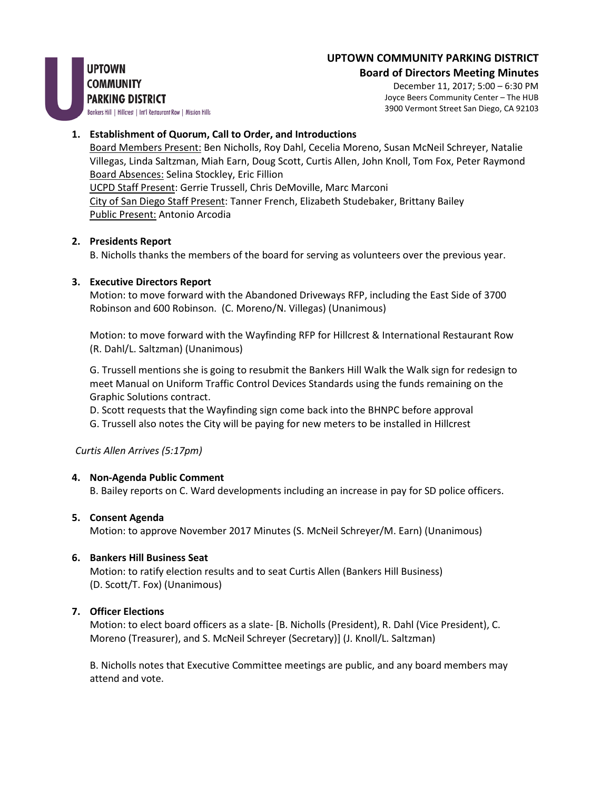

#### **Board of Directors Meeting Minutes**

December 11, 2017; 5:00 – 6:30 PM Joyce Beers Community Center – The HUB 3900 Vermont Street San Diego, CA 92103

#### **1. Establishment of Quorum, Call to Order, and Introductions**

Board Members Present: Ben Nicholls, Roy Dahl, Cecelia Moreno, Susan McNeil Schreyer, Natalie Villegas, Linda Saltzman, Miah Earn, Doug Scott, Curtis Allen, John Knoll, Tom Fox, Peter Raymond Board Absences: Selina Stockley, Eric Fillion UCPD Staff Present: Gerrie Trussell, Chris DeMoville, Marc Marconi City of San Diego Staff Present: Tanner French, Elizabeth Studebaker, Brittany Bailey Public Present: Antonio Arcodia

#### **2. Presidents Report**

B. Nicholls thanks the members of the board for serving as volunteers over the previous year.

#### **3. Executive Directors Report**

Motion: to move forward with the Abandoned Driveways RFP, including the East Side of 3700 Robinson and 600 Robinson. (C. Moreno/N. Villegas) (Unanimous)

Motion: to move forward with the Wayfinding RFP for Hillcrest & International Restaurant Row (R. Dahl/L. Saltzman) (Unanimous)

G. Trussell mentions she is going to resubmit the Bankers Hill Walk the Walk sign for redesign to meet Manual on Uniform Traffic Control Devices Standards using the funds remaining on the Graphic Solutions contract.

D. Scott requests that the Wayfinding sign come back into the BHNPC before approval

G. Trussell also notes the City will be paying for new meters to be installed in Hillcrest

#### *Curtis Allen Arrives (5:17pm)*

#### **4. Non-Agenda Public Comment**

B. Bailey reports on C. Ward developments including an increase in pay for SD police officers.

#### **5. Consent Agenda**

Motion: to approve November 2017 Minutes (S. McNeil Schreyer/M. Earn) (Unanimous)

#### **6. Bankers Hill Business Seat**

Motion: to ratify election results and to seat Curtis Allen (Bankers Hill Business) (D. Scott/T. Fox) (Unanimous)

#### **7. Officer Elections**

Motion: to elect board officers as a slate- [B. Nicholls (President), R. Dahl (Vice President), C. Moreno (Treasurer), and S. McNeil Schreyer (Secretary)] (J. Knoll/L. Saltzman)

B. Nicholls notes that Executive Committee meetings are public, and any board members may attend and vote.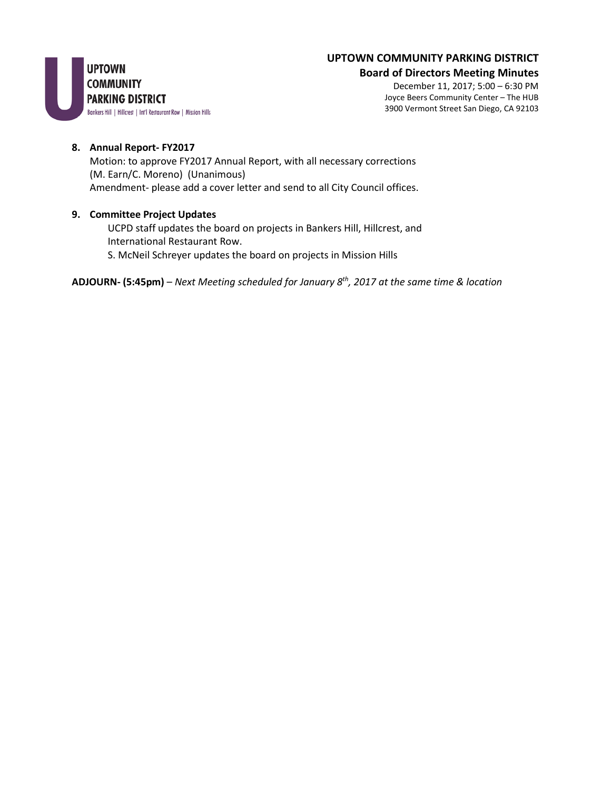

#### **Board of Directors Meeting Minutes**

December 11, 2017; 5:00 – 6:30 PM Joyce Beers Community Center – The HUB 3900 Vermont Street San Diego, CA 92103

#### **8. Annual Report- FY2017**

Motion: to approve FY2017 Annual Report, with all necessary corrections (M. Earn/C. Moreno) (Unanimous) Amendment- please add a cover letter and send to all City Council offices.

#### **9. Committee Project Updates**

UCPD staff updates the board on projects in Bankers Hill, Hillcrest, and International Restaurant Row. S. McNeil Schreyer updates the board on projects in Mission Hills

**ADJOURN- (5:45pm)** – *Next Meeting scheduled for January 8th, 2017 at the same time & location*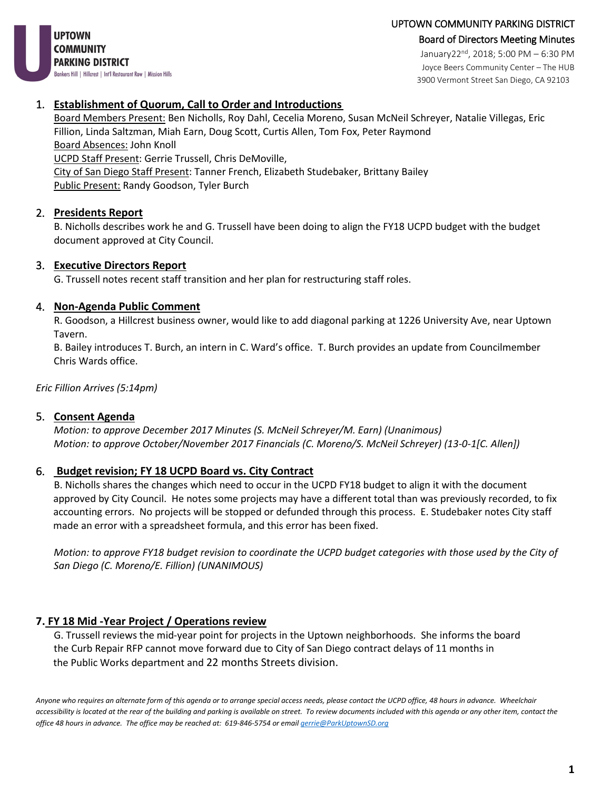

January22nd, 2018; 5:00 PM – 6:30 PM Joyce Beers Community Center – The HUB 3900 Vermont Street San Diego, CA 92103

### 1. **Establishment of Quorum, Call to Order and Introductions**

Board Members Present: Ben Nicholls, Roy Dahl, Cecelia Moreno, Susan McNeil Schreyer, Natalie Villegas, Eric Fillion, Linda Saltzman, Miah Earn, Doug Scott, Curtis Allen, Tom Fox, Peter Raymond Board Absences: John Knoll UCPD Staff Present: Gerrie Trussell, Chris DeMoville, City of San Diego Staff Present: Tanner French, Elizabeth Studebaker, Brittany Bailey Public Present: Randy Goodson, Tyler Burch

### 2. **Presidents Report**

B. Nicholls describes work he and G. Trussell have been doing to align the FY18 UCPD budget with the budget document approved at City Council.

### 3. **Executive Directors Report**

G. Trussell notes recent staff transition and her plan for restructuring staff roles.

### 4. **Non-Agenda Public Comment**

R. Goodson, a Hillcrest business owner, would like to add diagonal parking at 1226 University Ave, near Uptown Tavern.

B. Bailey introduces T. Burch, an intern in C. Ward's office. T. Burch provides an update from Councilmember Chris Wards office.

*Eric Fillion Arrives (5:14pm)*

### 5. **Consent Agenda**

*Motion: to approve December 2017 Minutes (S. McNeil Schreyer/M. Earn) (Unanimous) Motion: to approve October/November 2017 Financials (C. Moreno/S. McNeil Schreyer) (13-0-1[C. Allen])*

### 6. **Budget revision; FY 18 UCPD Board vs. City Contract**

B. Nicholls shares the changes which need to occur in the UCPD FY18 budget to align it with the document approved by City Council. He notes some projects may have a different total than was previously recorded, to fix accounting errors. No projects will be stopped or defunded through this process. E. Studebaker notes City staff made an error with a spreadsheet formula, and this error has been fixed.

*Motion: to approve FY18 budget revision to coordinate the UCPD budget categories with those used by the City of San Diego (C. Moreno/E. Fillion) (UNANIMOUS)*

### **7. FY 18 Mid -Year Project / Operations review**

G. Trussell reviews the mid-year point for projects in the Uptown neighborhoods. She informs the board the Curb Repair RFP cannot move forward due to City of San Diego contract delays of 11 months in the Public Works department and 22 months Streets division.

*Anyone who requires an alternate form of this agenda or to arrange special access needs, please contact the UCPD office, 48 hours in advance. Wheelchair*  accessibility is located at the rear of the building and parking is available on street. To review documents included with this agenda or any other item, contact the *office 48 hours in advance. The office may be reached at: 619-846-5754 or emai[l gerrie@ParkUptownSD.org](mailto:gerrie@ParkUptownSD.org)*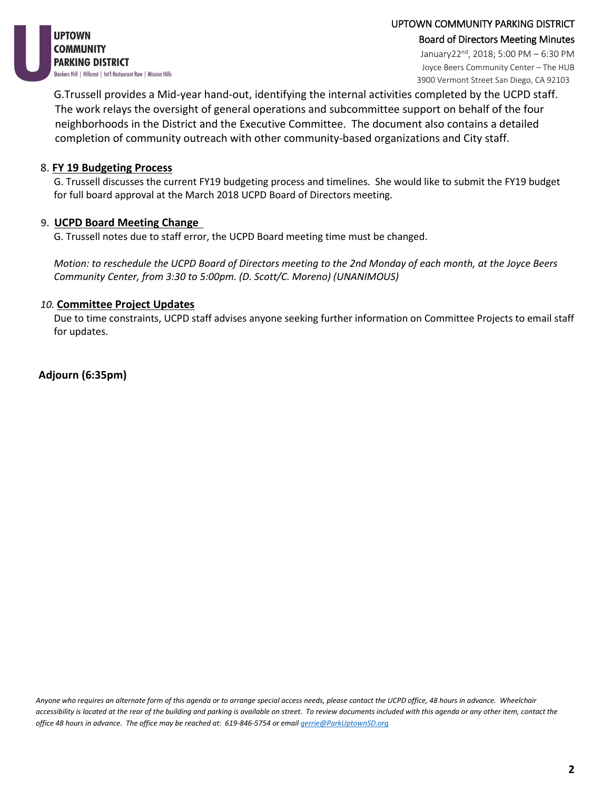

UPTOWN COMMUNITY PARKING DISTRICT Board of Directors Meeting Minutes January22nd, 2018; 5:00 PM – 6:30 PM

Joyce Beers Community Center – The HUB 3900 Vermont Street San Diego, CA 92103

G.Trussell provides a Mid-year hand-out, identifying the internal activities completed by the UCPD staff. The work relays the oversight of general operations and subcommittee support on behalf of the four neighborhoods in the District and the Executive Committee. The document also contains a detailed completion of community outreach with other community-based organizations and City staff.

#### 8. **FY 19 Budgeting Process**

G. Trussell discusses the current FY19 budgeting process and timelines. She would like to submit the FY19 budget for full board approval at the March 2018 UCPD Board of Directors meeting.

#### 9. **UCPD Board Meeting Change**

G. Trussell notes due to staff error, the UCPD Board meeting time must be changed.

*Motion: to reschedule the UCPD Board of Directors meeting to the 2nd Monday of each month, at the Joyce Beers Community Center, from 3:30 to 5:00pm. (D. Scott/C. Moreno) (UNANIMOUS)*

#### *10.* **Committee Project Updates**

Due to time constraints, UCPD staff advises anyone seeking further information on Committee Projects to email staff for updates.

**Adjourn (6:35pm)**

*Anyone who requires an alternate form of this agenda or to arrange special access needs, please contact the UCPD office, 48 hours in advance. Wheelchair*  accessibility is located at the rear of the building and parking is available on street. To review documents included with this agenda or any other item, contact the *office 48 hours in advance. The office may be reached at: 619-846-5754 or emai[l gerrie@ParkUptownSD.org](mailto:gerrie@ParkUptownSD.org)*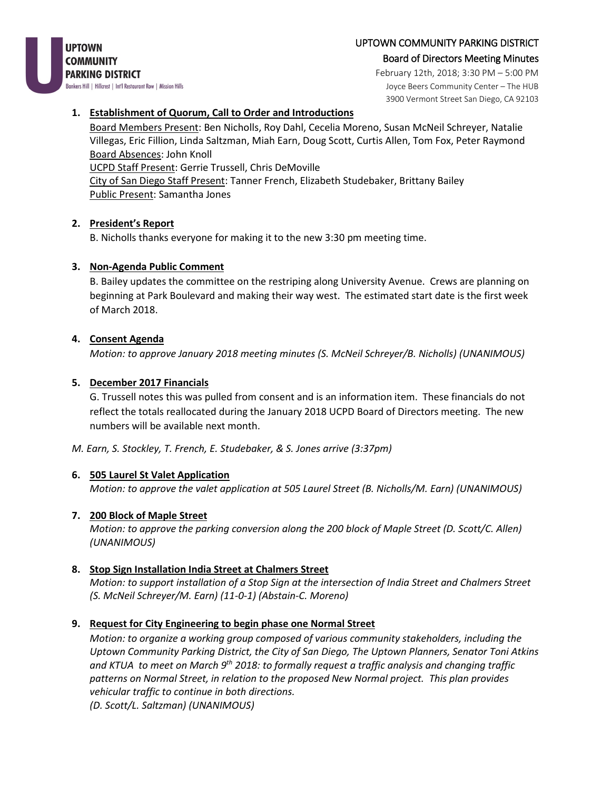**UPTOWN COMMUNITY PARKING DISTRICT** Bankers Hill | Hillcrest | Int'l Restaurant Row | Mission Hills

#### UPTOWN COMMUNITY PARKING DISTRICT

#### Board of Directors Meeting Minutes

February 12th, 2018; 3:30 PM – 5:00 PM Joyce Beers Community Center – The HUB 3900 Vermont Street San Diego, CA 92103

#### **1. Establishment of Quorum, Call to Order and Introductions**

Board Members Present: Ben Nicholls, Roy Dahl, Cecelia Moreno, Susan McNeil Schreyer, Natalie Villegas, Eric Fillion, Linda Saltzman, Miah Earn, Doug Scott, Curtis Allen, Tom Fox, Peter Raymond Board Absences: John Knoll UCPD Staff Present: Gerrie Trussell, Chris DeMoville City of San Diego Staff Present: Tanner French, Elizabeth Studebaker, Brittany Bailey Public Present: Samantha Jones

#### **2. President's Report**

B. Nicholls thanks everyone for making it to the new 3:30 pm meeting time.

#### **3. Non-Agenda Public Comment**

B. Bailey updates the committee on the restriping along University Avenue. Crews are planning on beginning at Park Boulevard and making their way west. The estimated start date is the first week of March 2018.

#### **4. Consent Agenda**

*Motion: to approve January 2018 meeting minutes (S. McNeil Schreyer/B. Nicholls) (UNANIMOUS)*

#### **5. December 2017 Financials**

G. Trussell notes this was pulled from consent and is an information item. These financials do not reflect the totals reallocated during the January 2018 UCPD Board of Directors meeting. The new numbers will be available next month.

*M. Earn, S. Stockley, T. French, E. Studebaker, & S. Jones arrive (3:37pm)*

#### **6. 505 Laurel St Valet Application**

*Motion: to approve the valet application at 505 Laurel Street (B. Nicholls/M. Earn) (UNANIMOUS)*

#### **7. 200 Block of Maple Street**

*Motion: to approve the parking conversion along the 200 block of Maple Street (D. Scott/C. Allen) (UNANIMOUS)*

### **8. Stop Sign Installation India Street at Chalmers Street**

*Motion: to support installation of a Stop Sign at the intersection of India Street and Chalmers Street (S. McNeil Schreyer/M. Earn) (11-0-1) (Abstain-C. Moreno)*

### **9. Request for City Engineering to begin phase one Normal Street**

*Motion: to organize a working group composed of various community stakeholders, including the Uptown Community Parking District, the City of San Diego, The Uptown Planners, Senator Toni Atkins and KTUA to meet on March 9th 2018: to formally request a traffic analysis and changing traffic patterns on Normal Street, in relation to the proposed New Normal project. This plan provides vehicular traffic to continue in both directions. (D. Scott/L. Saltzman) (UNANIMOUS)*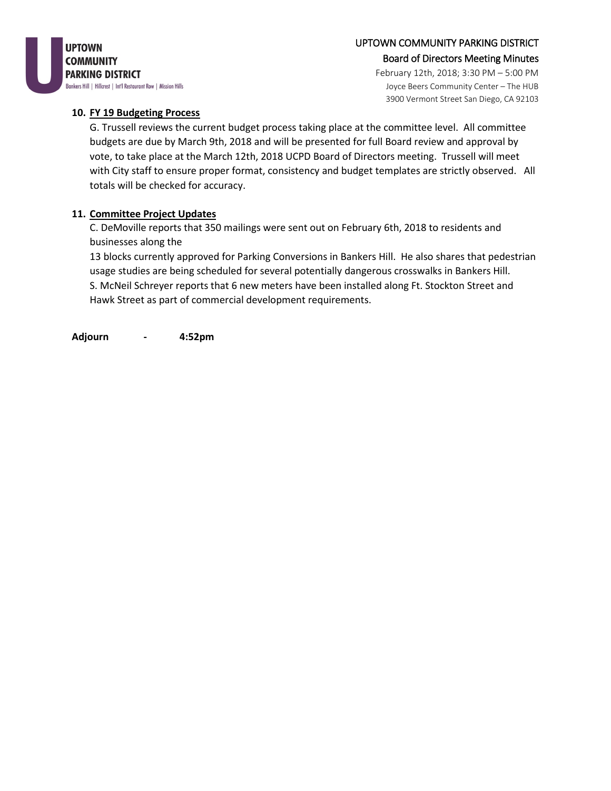

Board of Directors Meeting Minutes

February 12th, 2018; 3:30 PM – 5:00 PM Joyce Beers Community Center – The HUB 3900 Vermont Street San Diego, CA 92103

#### **10. FY 19 Budgeting Process**

G. Trussell reviews the current budget process taking place at the committee level. All committee budgets are due by March 9th, 2018 and will be presented for full Board review and approval by vote, to take place at the March 12th, 2018 UCPD Board of Directors meeting. Trussell will meet with City staff to ensure proper format, consistency and budget templates are strictly observed. All totals will be checked for accuracy.

#### **11. Committee Project Updates**

C. DeMoville reports that 350 mailings were sent out on February 6th, 2018 to residents and businesses along the

13 blocks currently approved for Parking Conversions in Bankers Hill. He also shares that pedestrian usage studies are being scheduled for several potentially dangerous crosswalks in Bankers Hill. S. McNeil Schreyer reports that 6 new meters have been installed along Ft. Stockton Street and Hawk Street as part of commercial development requirements.

**Adjourn - 4:52pm**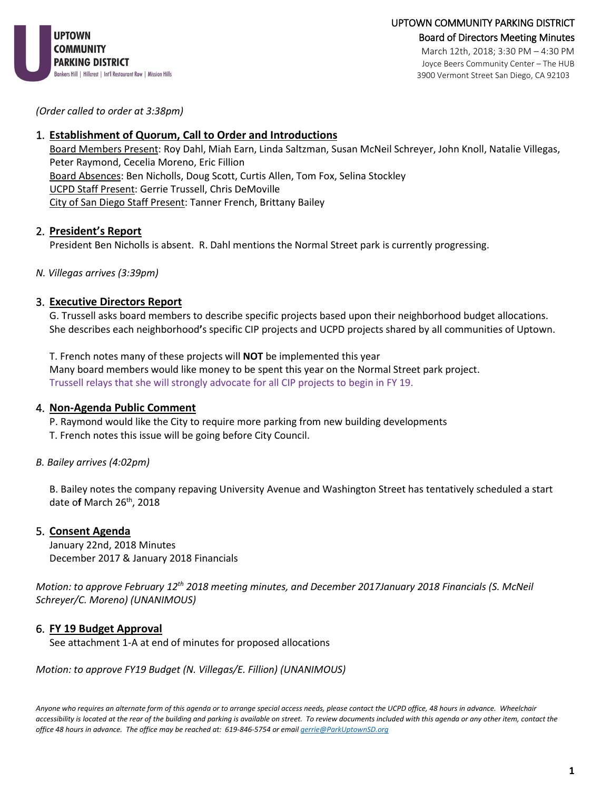

Joyce Beers Community Center – The HUB 3900 Vermont Street San Diego, CA 92103

*(Order called to order at 3:38pm)*

### 1. **Establishment of Quorum, Call to Order and Introductions**

Board Members Present: Roy Dahl, Miah Earn, Linda Saltzman, Susan McNeil Schreyer, John Knoll, Natalie Villegas, Peter Raymond, Cecelia Moreno, Eric Fillion Board Absences: Ben Nicholls, Doug Scott, Curtis Allen, Tom Fox, Selina Stockley UCPD Staff Present: Gerrie Trussell, Chris DeMoville City of San Diego Staff Present: Tanner French, Brittany Bailey

#### 2. **President's Report**

President Ben Nicholls is absent. R. Dahl mentions the Normal Street park is currently progressing.

*N. Villegas arrives (3:39pm)*

### 3. **Executive Directors Report**

G. Trussell asks board members to describe specific projects based upon their neighborhood budget allocations. She describes each neighborhood**'**s specific CIP projects and UCPD projects shared by all communities of Uptown.

T. French notes many of these projects will **NOT** be implemented this year Many board members would like money to be spent this year on the Normal Street park project. Trussell relays that she will strongly advocate for all CIP projects to begin in FY 19.

### 4. **Non-Agenda Public Comment**

P. Raymond would like the City to require more parking from new building developments

T. French notes this issue will be going before City Council.

#### *B. Bailey arrives (4:02pm)*

B. Bailey notes the company repaving University Avenue and Washington Street has tentatively scheduled a start date o**f** March 26th, 2018

### 5. **Consent Agenda**

January 22nd, 2018 Minutes December 2017 & January 2018 Financials

*Motion: to approve February 12th 2018 meeting minutes, and December 2017January 2018 Financials (S. McNeil Schreyer/C. Moreno) (UNANIMOUS)*

### 6. **FY 19 Budget Approval**

See attachment 1-A at end of minutes for proposed allocations

*Motion: to approve FY19 Budget (N. Villegas/E. Fillion) (UNANIMOUS)*

*Anyone who requires an alternate form of this agenda or to arrange special access needs, please contact the UCPD office, 48 hours in advance. Wheelchair accessibility is located at the rear of the building and parking is available on street. To review documents included with this agenda or any other item, contact the office 48 hours in advance. The office may be reached at: 619-846-5754 or emai[l gerrie@ParkUptownSD.org](mailto:gerrie@ParkUptownSD.org)*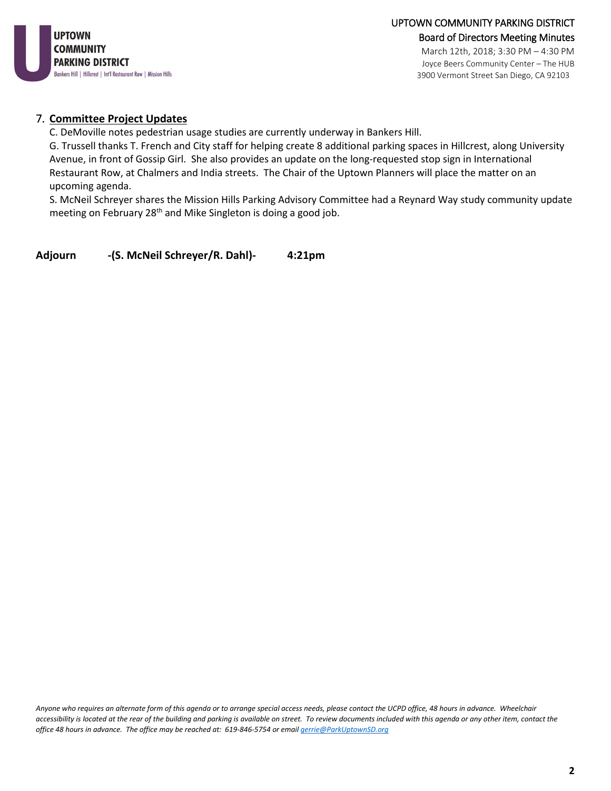

Joyce Beers Community Center – The HUB 3900 Vermont Street San Diego, CA 92103

#### 7. **Committee Project Updates**

C. DeMoville notes pedestrian usage studies are currently underway in Bankers Hill.

G. Trussell thanks T. French and City staff for helping create 8 additional parking spaces in Hillcrest, along University Avenue, in front of Gossip Girl. She also provides an update on the long-requested stop sign in International Restaurant Row, at Chalmers and India streets. The Chair of the Uptown Planners will place the matter on an upcoming agenda.

S. McNeil Schreyer shares the Mission Hills Parking Advisory Committee had a Reynard Way study community update meeting on February 28<sup>th</sup> and Mike Singleton is doing a good job.

**Adjourn -(S. McNeil Schreyer/R. Dahl)- 4:21pm**

*Anyone who requires an alternate form of this agenda or to arrange special access needs, please contact the UCPD office, 48 hours in advance. Wheelchair accessibility is located at the rear of the building and parking is available on street. To review documents included with this agenda or any other item, contact the office 48 hours in advance. The office may be reached at: 619-846-5754 or emai[l gerrie@ParkUptownSD.org](mailto:gerrie@ParkUptownSD.org)*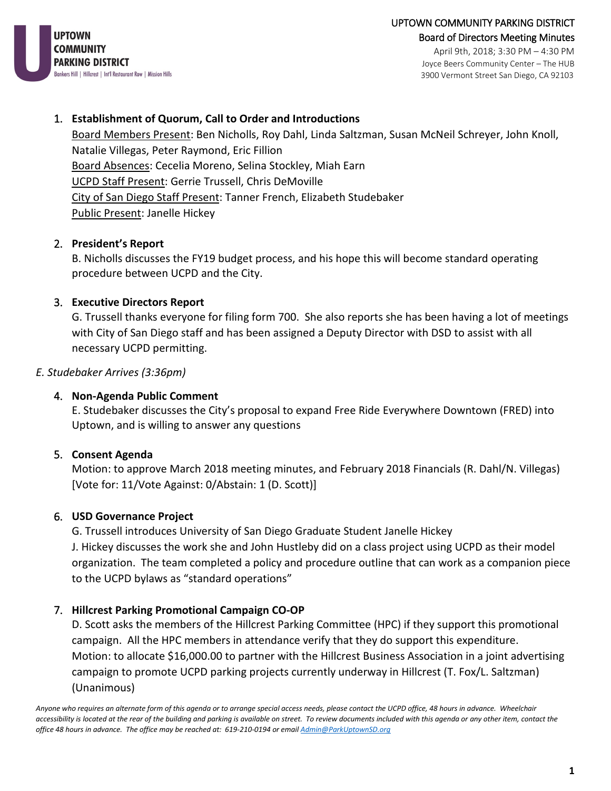

April 9th, 2018; 3:30 PM – 4:30 PM Joyce Beers Community Center – The HUB 3900 Vermont Street San Diego, CA 92103

### 1. **Establishment of Quorum, Call to Order and Introductions**

Board Members Present: Ben Nicholls, Roy Dahl, Linda Saltzman, Susan McNeil Schreyer, John Knoll, Natalie Villegas, Peter Raymond, Eric Fillion Board Absences: Cecelia Moreno, Selina Stockley, Miah Earn UCPD Staff Present: Gerrie Trussell, Chris DeMoville City of San Diego Staff Present: Tanner French, Elizabeth Studebaker Public Present: Janelle Hickey

### 2. **President's Report**

B. Nicholls discusses the FY19 budget process, and his hope this will become standard operating procedure between UCPD and the City.

### 3. **Executive Directors Report**

G. Trussell thanks everyone for filing form 700.She also reports she has been having a lot of meetings with City of San Diego staff and has been assigned a Deputy Director with DSD to assist with all necessary UCPD permitting.

### *E. Studebaker Arrives (3:36pm)*

### 4. **Non-Agenda Public Comment**

E. Studebaker discusses the City's proposal to expand Free Ride Everywhere Downtown (FRED) into Uptown, and is willing to answer any questions

### 5. **Consent Agenda**

Motion: to approve March 2018 meeting minutes, and February 2018 Financials (R. Dahl/N. Villegas) [Vote for: 11/Vote Against: 0/Abstain: 1 (D. Scott)]

### 6. **USD Governance Project**

G. Trussell introduces University of San Diego Graduate Student Janelle Hickey J. Hickey discusses the work she and John Hustleby did on a class project using UCPD as their model organization. The team completed a policy and procedure outline that can work as a companion piece to the UCPD bylaws as "standard operations"

### 7. **Hillcrest Parking Promotional Campaign CO-OP**

D. Scott asks the members of the Hillcrest Parking Committee (HPC) if they support this promotional campaign. All the HPC members in attendance verify that they do support this expenditure. Motion: to allocate \$16,000.00 to partner with the Hillcrest Business Association in a joint advertising campaign to promote UCPD parking projects currently underway in Hillcrest (T. Fox/L. Saltzman) (Unanimous)

*Anyone who requires an alternate form of this agenda or to arrange special access needs, please contact the UCPD office, 48 hours in advance. Wheelchair accessibility is located at the rear of the building and parking is available on street. To review documents included with this agenda or any other item, contact the office 48 hours in advance. The office may be reached at: 619-210-0194 or emai[l Admin@ParkUptownSD.org](mailto:Admin@ParkUptownSD.org)*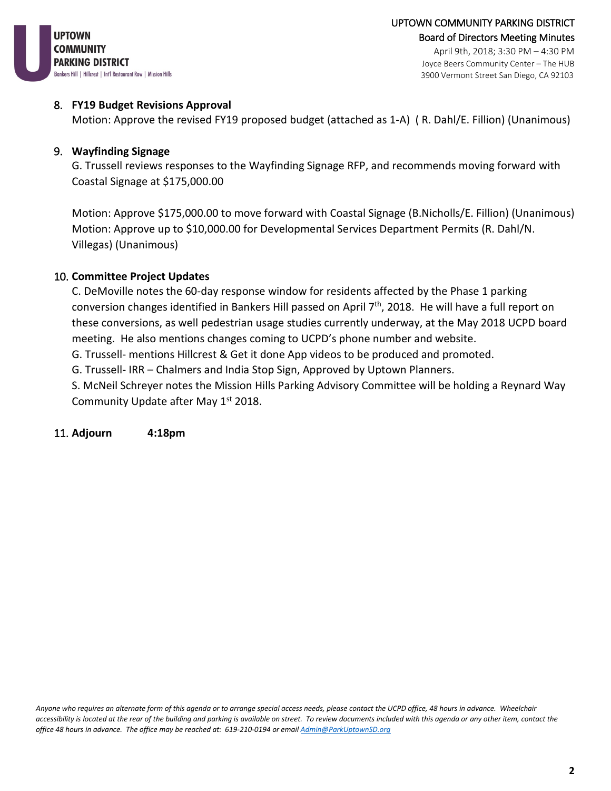

3900 Vermont Street San Diego, CA 92103

### 8. **FY19 Budget Revisions Approval**

Motion: Approve the revised FY19 proposed budget (attached as 1-A) ( R. Dahl/E. Fillion) (Unanimous)

### 9. **Wayfinding Signage**

G. Trussell reviews responses to the Wayfinding Signage RFP, and recommends moving forward with Coastal Signage at \$175,000.00

Motion: Approve \$175,000.00 to move forward with Coastal Signage (B.Nicholls/E. Fillion) (Unanimous) Motion: Approve up to \$10,000.00 for Developmental Services Department Permits (R. Dahl/N. Villegas) (Unanimous)

### 10. **Committee Project Updates**

C. DeMoville notes the 60-day response window for residents affected by the Phase 1 parking conversion changes identified in Bankers Hill passed on April 7<sup>th</sup>, 2018. He will have a full report on these conversions, as well pedestrian usage studies currently underway, at the May 2018 UCPD board meeting. He also mentions changes coming to UCPD's phone number and website.

G. Trussell- mentions Hillcrest & Get it done App videos to be produced and promoted.

G. Trussell- IRR – Chalmers and India Stop Sign, Approved by Uptown Planners.

S. McNeil Schreyer notes the Mission Hills Parking Advisory Committee will be holding a Reynard Way Community Update after May 1<sup>st</sup> 2018.

### 11. **Adjourn 4:18pm**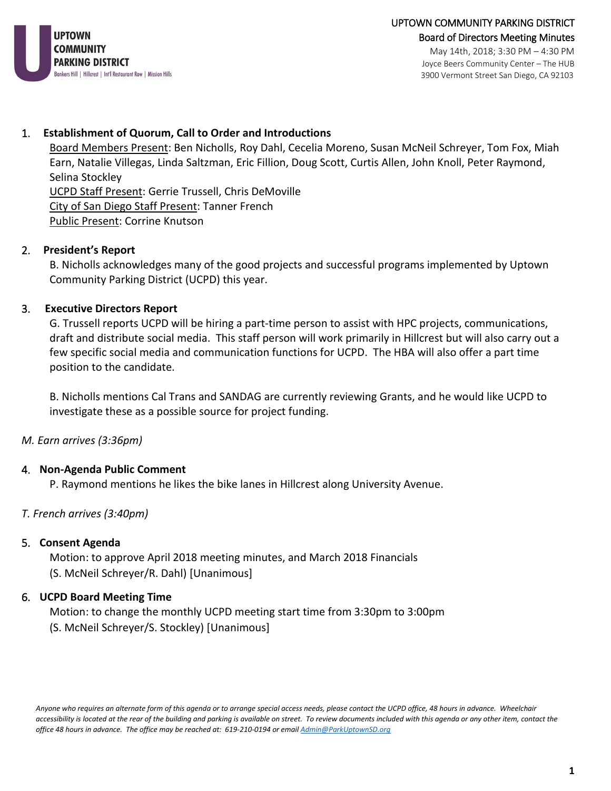

Joyce Beers Community Center – The HUB 3900 Vermont Street San Diego, CA 92103

#### 1. **Establishment of Quorum, Call to Order and Introductions**

Board Members Present: Ben Nicholls, Roy Dahl, Cecelia Moreno, Susan McNeil Schreyer, Tom Fox, Miah Earn, Natalie Villegas, Linda Saltzman, Eric Fillion, Doug Scott, Curtis Allen, John Knoll, Peter Raymond, Selina Stockley UCPD Staff Present: Gerrie Trussell, Chris DeMoville City of San Diego Staff Present: Tanner French Public Present: Corrine Knutson

### 2. **President's Report**

B. Nicholls acknowledges many of the good projects and successful programs implemented by Uptown Community Parking District (UCPD) this year.

### 3. **Executive Directors Report**

G. Trussell reports UCPD will be hiring a part-time person to assist with HPC projects, communications, draft and distribute social media. This staff person will work primarily in Hillcrest but will also carry out a few specific social media and communication functions for UCPD. The HBA will also offer a part time position to the candidate.

B. Nicholls mentions Cal Trans and SANDAG are currently reviewing Grants, and he would like UCPD to investigate these as a possible source for project funding.

#### *M. Earn arrives (3:36pm)*

#### 4. **Non-Agenda Public Comment**

P. Raymond mentions he likes the bike lanes in Hillcrest along University Avenue.

### *T. French arrives (3:40pm)*

### 5. **Consent Agenda**

Motion: to approve April 2018 meeting minutes, and March 2018 Financials (S. McNeil Schreyer/R. Dahl) [Unanimous]

#### 6. **UCPD Board Meeting Time**

Motion: to change the monthly UCPD meeting start time from 3:30pm to 3:00pm (S. McNeil Schreyer/S. Stockley) [Unanimous]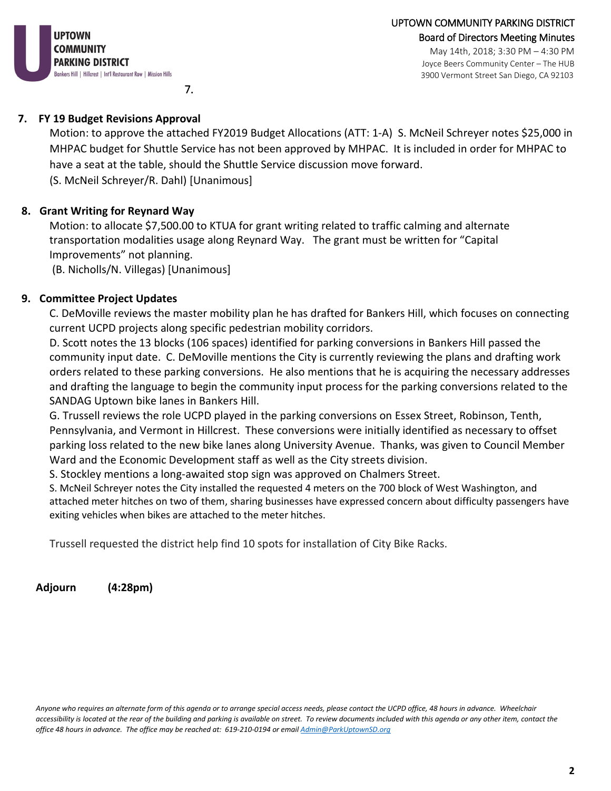

3900 Vermont Street San Diego, CA 92103

7.

### **7. FY 19 Budget Revisions Approval**

Motion: to approve the attached FY2019 Budget Allocations (ATT: 1-A) S. McNeil Schreyer notes \$25,000 in MHPAC budget for Shuttle Service has not been approved by MHPAC. It is included in order for MHPAC to have a seat at the table, should the Shuttle Service discussion move forward. (S. McNeil Schreyer/R. Dahl) [Unanimous]

**8. Grant Writing for Reynard Way** 

Motion: to allocate \$7,500.00 to KTUA for grant writing related to traffic calming and alternate transportation modalities usage along Reynard Way. The grant must be written for "Capital Improvements" not planning.

(B. Nicholls/N. Villegas) [Unanimous]

### **9. Committee Project Updates**

C. DeMoville reviews the master mobility plan he has drafted for Bankers Hill, which focuses on connecting current UCPD projects along specific pedestrian mobility corridors.

D. Scott notes the 13 blocks (106 spaces) identified for parking conversions in Bankers Hill passed the community input date. C. DeMoville mentions the City is currently reviewing the plans and drafting work orders related to these parking conversions. He also mentions that he is acquiring the necessary addresses and drafting the language to begin the community input process for the parking conversions related to the SANDAG Uptown bike lanes in Bankers Hill.

G. Trussell reviews the role UCPD played in the parking conversions on Essex Street, Robinson, Tenth, Pennsylvania, and Vermont in Hillcrest. These conversions were initially identified as necessary to offset parking loss related to the new bike lanes along University Avenue. Thanks, was given to Council Member Ward and the Economic Development staff as well as the City streets division.

S. Stockley mentions a long-awaited stop sign was approved on Chalmers Street.

S. McNeil Schreyer notes the City installed the requested 4 meters on the 700 block of West Washington, and attached meter hitches on two of them, sharing businesses have expressed concern about difficulty passengers have exiting vehicles when bikes are attached to the meter hitches.

Trussell requested the district help find 10 spots for installation of City Bike Racks.

**Adjourn (4:28pm)**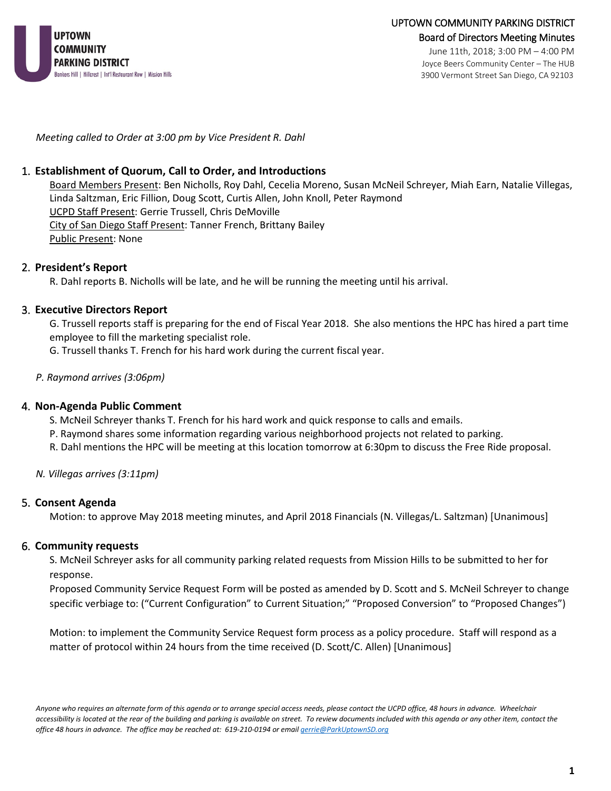

June 11th, 2018; 3:00 PM – 4:00 PM Joyce Beers Community Center – The HUB 3900 Vermont Street San Diego, CA 92103

*Meeting called to Order at 3:00 pm by Vice President R. Dahl*

#### 1. **Establishment of Quorum, Call to Order, and Introductions**

Board Members Present: Ben Nicholls, Roy Dahl, Cecelia Moreno, Susan McNeil Schreyer, Miah Earn, Natalie Villegas, Linda Saltzman, Eric Fillion, Doug Scott, Curtis Allen, John Knoll, Peter Raymond UCPD Staff Present: Gerrie Trussell, Chris DeMoville City of San Diego Staff Present: Tanner French, Brittany Bailey Public Present: None

#### 2. **President's Report**

R. Dahl reports B. Nicholls will be late, and he will be running the meeting until his arrival.

#### 3. **Executive Directors Report**

G. Trussell reports staff is preparing for the end of Fiscal Year 2018. She also mentions the HPC has hired a part time employee to fill the marketing specialist role.

G. Trussell thanks T. French for his hard work during the current fiscal year.

*P. Raymond arrives (3:06pm)*

#### 4. **Non-Agenda Public Comment**

S. McNeil Schreyer thanks T. French for his hard work and quick response to calls and emails.

- P. Raymond shares some information regarding various neighborhood projects not related to parking.
- R. Dahl mentions the HPC will be meeting at this location tomorrow at 6:30pm to discuss the Free Ride proposal.

*N. Villegas arrives (3:11pm)*

#### 5. **Consent Agenda**

Motion: to approve May 2018 meeting minutes, and April 2018 Financials (N. Villegas/L. Saltzman) [Unanimous]

#### 6. **Community requests**

S. McNeil Schreyer asks for all community parking related requests from Mission Hills to be submitted to her for response.

Proposed Community Service Request Form will be posted as amended by D. Scott and S. McNeil Schreyer to change specific verbiage to: ("Current Configuration" to Current Situation;" "Proposed Conversion" to "Proposed Changes")

Motion: to implement the Community Service Request form process as a policy procedure. Staff will respond as a matter of protocol within 24 hours from the time received (D. Scott/C. Allen) [Unanimous]

*Anyone who requires an alternate form of this agenda or to arrange special access needs, please contact the UCPD office, 48 hours in advance. Wheelchair accessibility is located at the rear of the building and parking is available on street. To review documents included with this agenda or any other item, contact the office 48 hours in advance. The office may be reached at: 619-210-0194 or emai[l gerrie@ParkUptownSD.org](mailto:gerrie@ParkUptownSD.org)*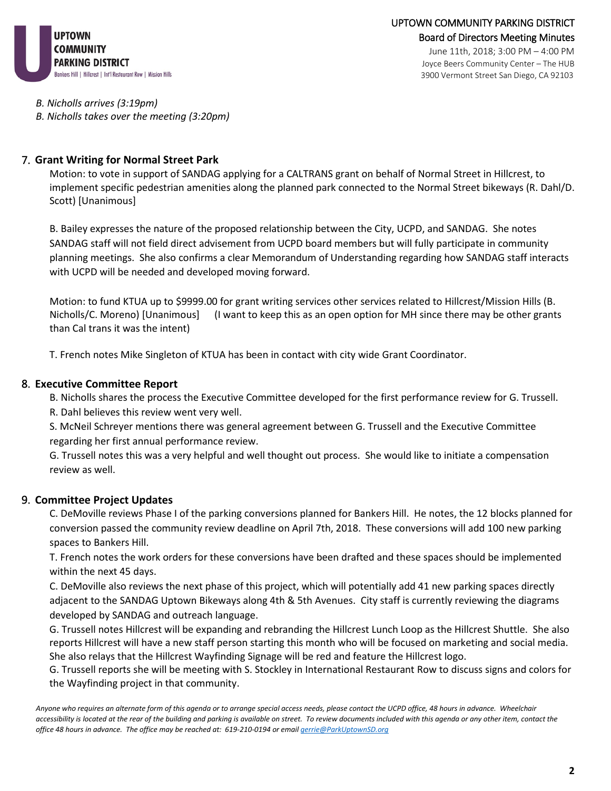

June 11th, 2018; 3:00 PM – 4:00 PM Joyce Beers Community Center – The HUB 3900 Vermont Street San Diego, CA 92103

*B. Nicholls arrives (3:19pm)*

*B. Nicholls takes over the meeting (3:20pm)*

#### 7. **Grant Writing for Normal Street Park**

Motion: to vote in support of SANDAG applying for a CALTRANS grant on behalf of Normal Street in Hillcrest, to implement specific pedestrian amenities along the planned park connected to the Normal Street bikeways (R. Dahl/D. Scott) [Unanimous]

B. Bailey expresses the nature of the proposed relationship between the City, UCPD, and SANDAG. She notes SANDAG staff will not field direct advisement from UCPD board members but will fully participate in community planning meetings. She also confirms a clear Memorandum of Understanding regarding how SANDAG staff interacts with UCPD will be needed and developed moving forward.

Motion: to fund KTUA up to \$9999.00 for grant writing services other services related to Hillcrest/Mission Hills (B. Nicholls/C. Moreno) [Unanimous] (I want to keep this as an open option for MH since there may be other grants than Cal trans it was the intent)

T. French notes Mike Singleton of KTUA has been in contact with city wide Grant Coordinator.

#### 8. **Executive Committee Report**

B. Nicholls shares the process the Executive Committee developed for the first performance review for G. Trussell.

R. Dahl believes this review went very well.

S. McNeil Schreyer mentions there was general agreement between G. Trussell and the Executive Committee regarding her first annual performance review.

G. Trussell notes this was a very helpful and well thought out process. She would like to initiate a compensation review as well.

### 9. **Committee Project Updates**

C. DeMoville reviews Phase I of the parking conversions planned for Bankers Hill. He notes, the 12 blocks planned for conversion passed the community review deadline on April 7th, 2018. These conversions will add 100 new parking spaces to Bankers Hill.

T. French notes the work orders for these conversions have been drafted and these spaces should be implemented within the next 45 days.

C. DeMoville also reviews the next phase of this project, which will potentially add 41 new parking spaces directly adjacent to the SANDAG Uptown Bikeways along 4th & 5th Avenues. City staff is currently reviewing the diagrams developed by SANDAG and outreach language.

G. Trussell notes Hillcrest will be expanding and rebranding the Hillcrest Lunch Loop as the Hillcrest Shuttle. She also reports Hillcrest will have a new staff person starting this month who will be focused on marketing and social media. She also relays that the Hillcrest Wayfinding Signage will be red and feature the Hillcrest logo.

G. Trussell reports she will be meeting with S. Stockley in International Restaurant Row to discuss signs and colors for the Wayfinding project in that community.

*Anyone who requires an alternate form of this agenda or to arrange special access needs, please contact the UCPD office, 48 hours in advance. Wheelchair accessibility is located at the rear of the building and parking is available on street. To review documents included with this agenda or any other item, contact the office 48 hours in advance. The office may be reached at: 619-210-0194 or emai[l gerrie@ParkUptownSD.org](mailto:gerrie@ParkUptownSD.org)*